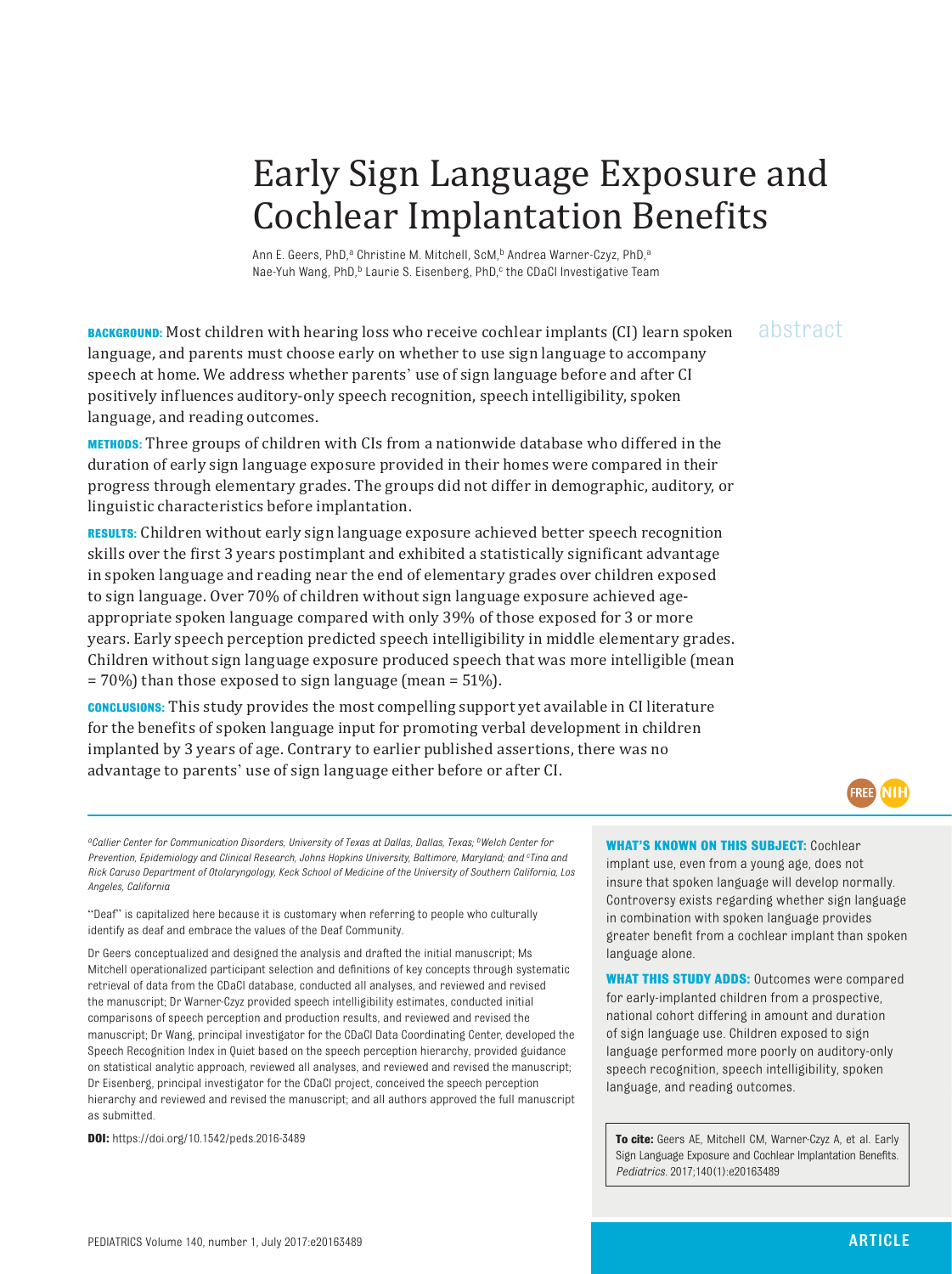# Early Sign Language Exposure and Cochlear Implantation Benefits

Ann E. Geers, PhD,<sup>a</sup> Christine M. Mitchell, ScM,<sup>b</sup> Andrea Warner-Czyz, PhD,<sup>a</sup> Nae-Yuh Wang, PhD,<sup>b</sup> Laurie S. Eisenberg, PhD,<sup>c</sup> the CDaCl Investigative Team

**BACKGROUND:** Most children with hearing loss who receive cochlear implants (CI) learn spoken  $a\bar{b}$ stract language, and parents must choose early on whether to use sign language to accompany speech at home. We address whether parents' use of sign language before and after CI positively influences auditory-only speech recognition, speech intelligibility, spoken language, and reading outcomes.

**METHODS:** Three groups of children with CIs from a nationwide database who differed in the duration of early sign language exposure provided in their homes were compared in their progress through elementary grades. The groups did not differ in demographic, auditory, or linguistic characteristics before implantation.

**RESULTS:** Children without early sign language exposure achieved better speech recognition skills over the first 3 years postimplant and exhibited a statistically significant advantage in spoken language and reading near the end of elementary grades over children exposed to sign language. Over 70% of children without sign language exposure achieved ageappropriate spoken language compared with only 39% of those exposed for 3 or more years. Early speech perception predicted speech intelligibility in middle elementary grades. Children without sign language exposure produced speech that was more intelligible (mean = 70%) than those exposed to sign language (mean = 51%).

**CONCLUSIONS:** This study provides the most compelling support yet available in CI literature for the benefits of spoken language input for promoting verbal development in children implanted by 3 years of age. Contrary to earlier published assertions, there was no advantage to parents' use of sign language either before or after CI.



*aCallier Center for Communication Disorders, University of Texas at Dallas, Dallas, Texas; bWelch Center for Prevention, Epidemiology and Clinical Research, Johns Hopkins University, Baltimore, Maryland; and c Tina and Rick Caruso Department of Otolaryngology, Keck School of Medicine of the University of Southern California, Los Angeles, California*

"Deaf" is capitalized here because it is customary when referring to people who culturally identify as deaf and embrace the values of the Deaf Community.

Dr Geers conceptualized and designed the analysis and drafted the initial manuscript; Ms Mitchell operationalized participant selection and definitions of key concepts through systematic retrieval of data from the CDaCI database, conducted all analyses, and reviewed and revised the manuscript; Dr Warner-Czyz provided speech intelligibility estimates, conducted initial comparisons of speech perception and production results, and reviewed and revised the manuscript; Dr Wang, principal investigator for the CDaCI Data Coordinating Center, developed the Speech Recognition Index in Quiet based on the speech perception hierarchy, provided guidance on statistical analytic approach, reviewed all analyses, and reviewed and revised the manuscript; Dr Eisenberg, principal investigator for the CDaCI project, conceived the speech perception hierarchy and reviewed and revised the manuscript; and all authors approved the full manuscript as submitted.

**DOI:** https://doi.org/10.1542/peds.2016-3489

#### **WHAT'S KNOWN ON THIS SUBJECT:** Cochlear

implant use, even from a young age, does not insure that spoken language will develop normally. Controversy exists regarding whether sign language in combination with spoken language provides greater benefit from a cochlear implant than spoken language alone.

**WHAT THIS STUDY ADDS:** Outcomes were compared for early-implanted children from a prospective, national cohort differing in amount and duration of sign language use. Children exposed to sign language performed more poorly on auditory-only speech recognition, speech intelligibility, spoken language, and reading outcomes.

**To cite:** Geers AE, Mitchell CM, Warner-Czyz A, et al. Early Sign Language Exposure and Cochlear Implantation Benefits. *Pediatrics.* 2017;140(1):e20163489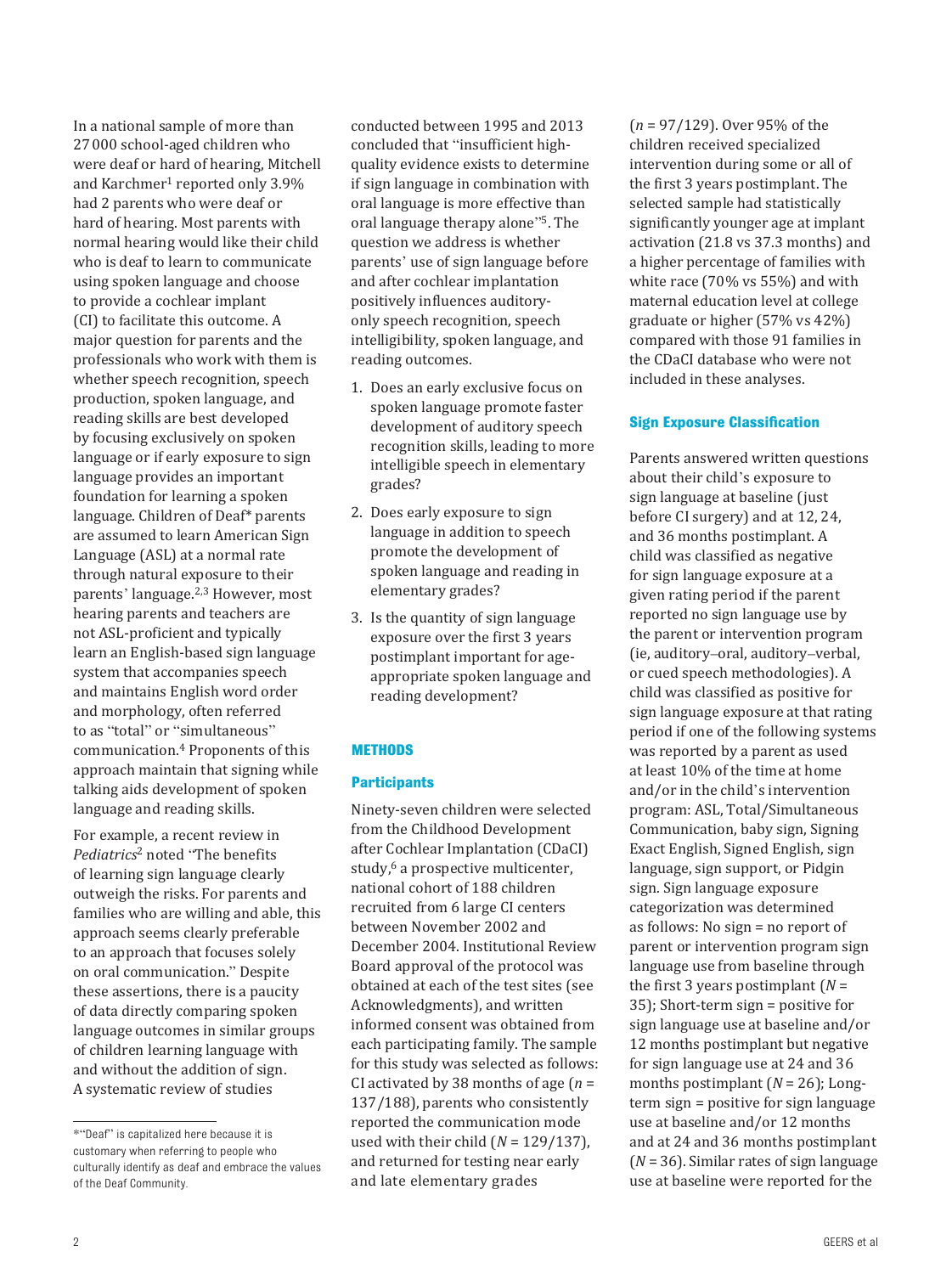In a national sample of more than 27000 school-aged children who were deaf or hard of hearing, Mitchell and Karchmer<sup>1</sup> reported only 3.9% had 2 parents who were deaf or hard of hearing. Most parents with normal hearing would like their child who is deaf to learn to communicate using spoken language and choose to provide a cochlear implant (CI) to facilitate this outcome. A major question for parents and the professionals who work with them is whether speech recognition, speech production, spoken language, and reading skills are best developed by focusing exclusively on spoken language or if early exposure to sign language provides an important foundation for learning a spoken language. Children of Deaf\* parents are assumed to learn American Sign Language (ASL) at a normal rate through natural exposure to their parents' language. 2,3 However, most hearing parents and teachers are not ASL-proficient and typically learn an English-based sign language system that accompanies speech and maintains English word order and morphology, often referred to as "total" or "simultaneous" communication. 4 Proponents of this approach maintain that signing while talking aids development of spoken language and reading skills.

For example, a recent review in *Pediatrics*2 noted "The benefits of learning sign language clearly outweigh the risks. For parents and families who are willing and able, this approach seems clearly preferable to an approach that focuses solely on oral communication." Despite these assertions, there is a paucity of data directly comparing spoken language outcomes in similar groups of children learning language with and without the addition of sign. A systematic review of studies

conducted between 1995 and 2013 concluded that "insufficient highquality evidence exists to determine if sign language in combination with oral language is more effective than oral language therapy alone"5. The question we address is whether parents' use of sign language before and after cochlear implantation positively influences auditoryonly speech recognition, speech intelligibility, spoken language, and reading outcomes.

- 1. Does an early exclusive focus on spoken language promote faster development of auditory speech recognition skills, leading to more intelligible speech in elementary grades?
- 2. Does early exposure to sign language in addition to speech promote the development of spoken language and reading in elementary grades?
- 3. Is the quantity of sign language exposure over the first 3 years postimplant important for ageappropriate spoken language and reading development?

## **METHODS**

## **Participants**

Ninety-seven children were selected from the Childhood Development after Cochlear Implantation (CDaCI) study, $6$  a prospective multicenter, national cohort of 188 children recruited from 6 large CI centers between November 2002 and December 2004. Institutional Review Board approval of the protocol was obtained at each of the test sites (see Acknowledgments), and written informed consent was obtained from each participating family. The sample for this study was selected as follows: CI activated by 38 months of age (*n* = 137/188), parents who consistently reported the communication mode used with their child (*N* = 129/137), and returned for testing near early and late elementary grades

(*n* = 97/129). Over 95% of the children received specialized intervention during some or all of the first 3 years postimplant. The selected sample had statistically significantly younger age at implant activation (21.8 vs 37.3 months) and a higher percentage of families with white race (70% vs 55%) and with maternal education level at college graduate or higher (57% vs 42%) compared with those 91 families in the CDaCI database who were not included in these analyses.

## **Sign Exposure Classification**

Parents answered written questions about their child's exposure to sign language at baseline (just before CI surgery) and at 12, 24, and 36 months postimplant. A child was classified as negative for sign language exposure at a given rating period if the parent reported no sign language use by the parent or intervention program (ie, auditory–oral, auditory–verbal, or cued speech methodologies). A child was classified as positive for sign language exposure at that rating period if one of the following systems was reported by a parent as used at least 10% of the time at home and/or in the child's intervention program: ASL, Total/Simultaneous Communication, baby sign, Signing Exact English, Signed English, sign language, sign support, or Pidgin sign. Sign language exposure categorization was determined as follows: No sign = no report of parent or intervention program sign language use from baseline through the first 3 years postimplant (*N* = 35); Short-term sign = positive for sign language use at baseline and/or 12 months postimplant but negative for sign language use at 24 and 36 months postimplant (*N* = 26); Longterm sign = positive for sign language use at baseline and/or 12 months and at 24 and 36 months postimplant (*N* = 36). Similar rates of sign language use at baseline were reported for the

<sup>\*&</sup>quot;Deaf" is capitalized here because it is customary when referring to people who culturally identify as deaf and embrace the values of the Deaf Community.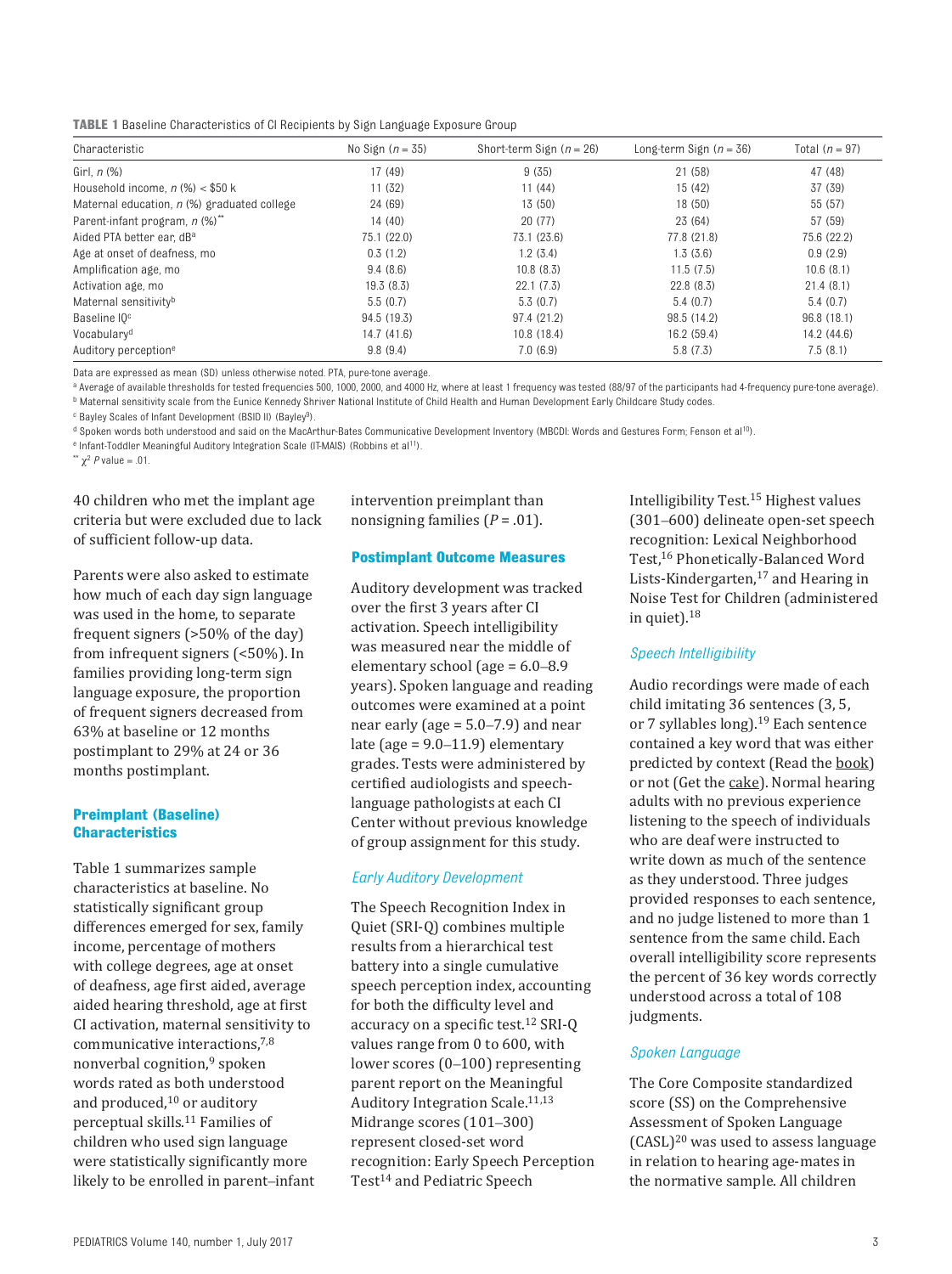**TABLE 1** Baseline Characteristics of CI Recipients by Sign Language Exposure Group

| Characteristic                                | No Sign $(n = 35)$ | Short-term Sign $(n = 26)$ | Long-term Sign $(n = 36)$ | Total $(n = 97)$ |
|-----------------------------------------------|--------------------|----------------------------|---------------------------|------------------|
| Girl, $n$ $(\%)$                              | 17 (49)            | 9(35)                      | 21 (58)                   | 47 (48)          |
| Household income, $n$ (%) < \$50 k            | 11(32)             | 11(44)                     | 15 (42)                   | 37 (39)          |
| Maternal education, $n$ (%) graduated college | 24 (69)            | 13(50)                     | 18(50)                    | 55 (57)          |
| Parent-infant program, n (%)**                | 14(40)             | 20(77)                     | 23 (64)                   | 57 (59)          |
| Aided PTA better ear, dB <sup>a</sup>         | 75.1 (22.0)        | 73.1 (23.6)                | 77.8 (21.8)               | 75.6 (22.2)      |
| Age at onset of deafness, mo                  | 0.3(1.2)           | 1.2(3.4)                   | 1.3(3.6)                  | 0.9(2.9)         |
| Amplification age, mo                         | 9.4(8.6)           | 10.8(8.3)                  | 11.5(7.5)                 | 10.6(8.1)        |
| Activation age, mo                            | 19.3(8.3)          | 22.1(7.3)                  | 22.8(8.3)                 | 21.4(8.1)        |
| Maternal sensitivity <sup>b</sup>             | 5.5(0.7)           | 5.3(0.7)                   | 5.4(0.7)                  | 5.4(0.7)         |
| Baseline IO <sup>c</sup>                      | 94.5(19.3)         | 97.4 (21.2)                | 98.5 (14.2)               | 96.8(18.1)       |
| Vocabulary <sup>d</sup>                       | 14.7(41.6)         | 10.8(18.4)                 | 16.2(59.4)                | 14.2(44.6)       |
| Auditory perception <sup>e</sup>              | 9.8(9.4)           | 7.0(6.9)                   | 5.8(7.3)                  | 7.5(8.1)         |

Data are expressed as mean (SD) unless otherwise noted. PTA, pure-tone average.

a Average of available thresholds for tested frequencies 500, 1000, 2000, and 4000 Hz, where at least 1 frequency was tested (88/97 of the participants had 4-frequency pure-tone average). **b** Maternal sensitivity scale from the Eunice Kennedy Shriver National Institute of Child Health and Human Development Early Childcare Study codes.

<sup>c</sup> Bayley Scales of Infant Development (BSID II) (Bayley<sup>9</sup>).

 $^{\text{d}}$  Spoken words both understood and said on the MacArthur-Bates Communicative Development Inventory (MBCDI: Words and Gestures Form; Fenson et al $^{10}$ ).

<sup>e</sup> Infant-Toddler Meaningful Auditory Integration Scale (IT-MAIS) (Robbins et al<sup>11</sup>).

\*\* χ<sup>2</sup> *P* value = .01.

40 children who met the implant age criteria but were excluded due to lack of sufficient follow-up data.

Parents were also asked to estimate how much of each day sign language was used in the home, to separate frequent signers (>50% of the day) from infrequent signers (<50%). In families providing long-term sign language exposure, the proportion of frequent signers decreased from 63% at baseline or 12 months postimplant to 29% at 24 or 36 months postimplant.

#### **Preimplant (Baseline) Characteristics**

Table 1 summarizes sample characteristics at baseline. No statistically significant group differences emerged for sex, family income, percentage of mothers with college degrees, age at onset of deafness, age first aided, average aided hearing threshold, age at first CI activation, maternal sensitivity to communicative interactions,7,8 nonverbal cognition,<sup>9</sup> spoken words rated as both understood and produced, $10$  or auditory perceptual skills. 11 Families of children who used sign language were statistically significantly more likely to be enrolled in parent–infant intervention preimplant than nonsigning families (*P* = .01).

## **Postimplant Outcome Measures**

Auditory development was tracked over the first 3 years after CI activation. Speech intelligibility was measured near the middle of elementary school (age = 6.0–8.9 years). Spoken language and reading outcomes were examined at a point near early (age = 5.0–7.9) and near late (age =  $9.0-11.9$ ) elementary grades. Tests were administered by certified audiologists and speechlanguage pathologists at each CI Center without previous knowledge of group assignment for this study.

## *Early Auditory Development*

The Speech Recognition Index in Quiet (SRI-Q) combines multiple results from a hierarchical test battery into a single cumulative speech perception index, accounting for both the difficulty level and accuracy on a specific test. 12 SRI-Q values range from 0 to 600, with lower scores (0–100) representing parent report on the Meaningful Auditory Integration Scale.<sup>11,13</sup> Midrange scores (101–300) represent closed-set word recognition: Early Speech Perception Test<sup>14</sup> and Pediatric Speech

Intelligibility Test.15 Highest values (301–600) delineate open-set speech recognition: Lexical Neighborhood Test,16 Phonetically-Balanced Word Lists-Kindergarten, $17$  and Hearing in Noise Test for Children (administered in quiet). 18

## *Speech Intelligibility*

Audio recordings were made of each child imitating 36 sentences (3, 5, or 7 syllables long). 19 Each sentence contained a key word that was either predicted by context (Read the book) or not (Get the cake). Normal hearing adults with no previous experience listening to the speech of individuals who are deaf were instructed to write down as much of the sentence as they understood. Three judges provided responses to each sentence, and no judge listened to more than 1 sentence from the same child. Each overall intelligibility score represents the percent of 36 key words correctly understood across a total of 108 judgments.

#### *Spoken Language*

The Core Composite standardized score (SS) on the Comprehensive Assessment of Spoken Language  $(CASL)^{20}$  was used to assess language in relation to hearing age-mates in the normative sample. All children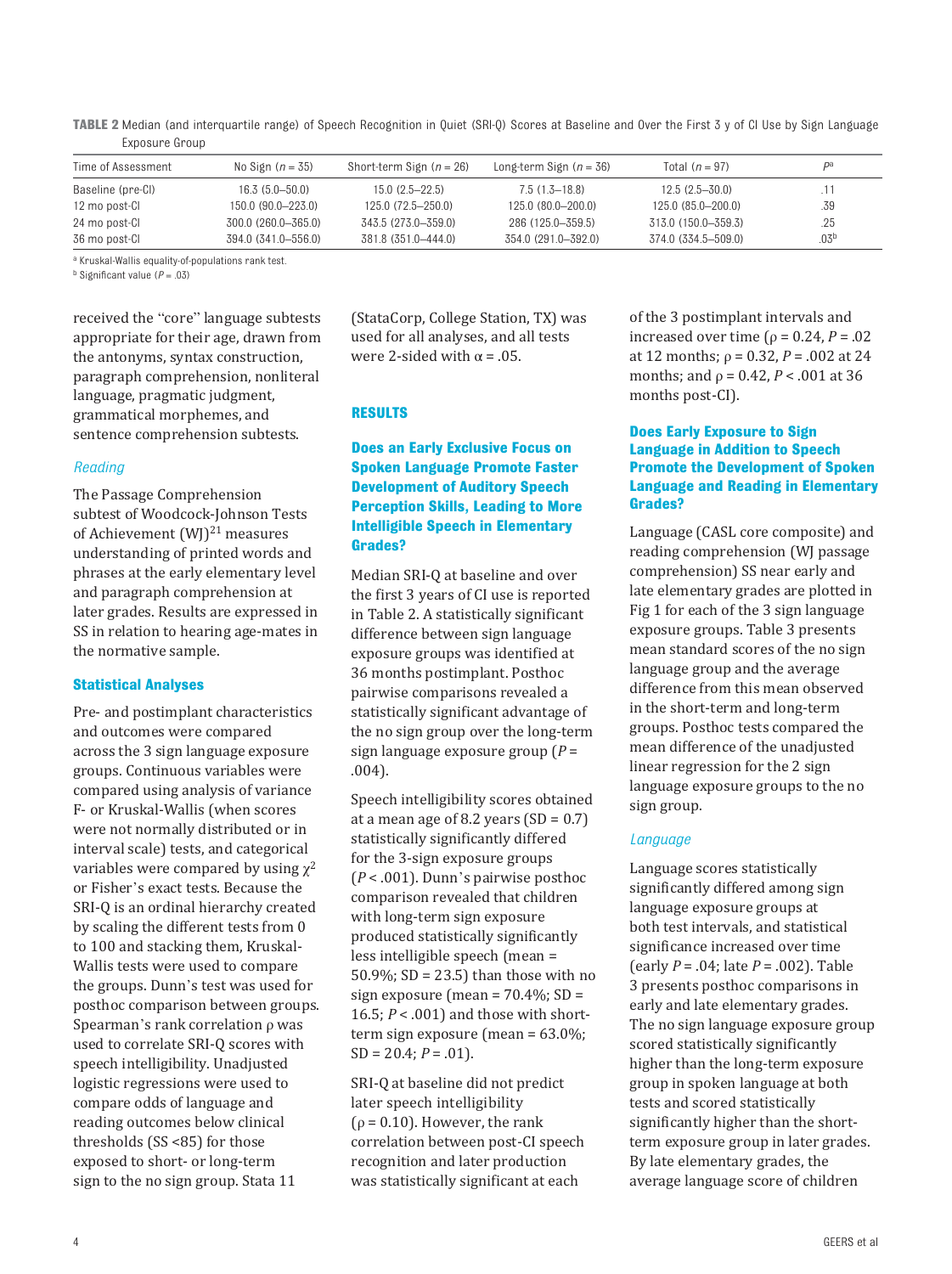| LADOUG O GIOGO     |                     |                            |                           |                     |                  |
|--------------------|---------------------|----------------------------|---------------------------|---------------------|------------------|
| Time of Assessment | No Sign $(n = 35)$  | Short-term Sign $(n = 26)$ | Long-term Sign $(n = 36)$ | Total $(n = 97)$    | pa               |
| Baseline (pre-Cl)  | $16.3(5.0 - 50.0)$  | $15.0(2.5 - 22.5)$         | $7.5(1.3 - 18.8)$         | 12.5 (2.5–30.0)     | 11               |
| 12 mo post-Cl      | 150.0 (90.0-223.0)  | 125.0 (72.5-250.0)         | 125.0 (80.0-200.0)        | 125.0 (85.0-200.0)  | .39              |
| 24 mo post-Cl      | 300.0 (260.0-365.0) | 343.5 (273.0-359.0)        | 286 (125.0–359.5)         | 313.0 (150.0-359.3) | .25              |
| 36 mo post-Cl      | 394.0 (341.0-556.0) | 381.8 (351.0-444.0)        | 354.0 (291.0-392.0)       | 374.0 (334.5—509.0) | .03 <sup>b</sup> |

**TABLE 2** Median (and interquartile range) of Speech Recognition in Quiet (SRI-Q) Scores at Baseline and Over the First 3 y of CI Use by Sign Language Exposure Group

a Kruskal-Wallis equality-of-populations rank test.

b Significant value (*P* = .03)

received the "core" language subtests appropriate for their age, drawn from the antonyms, syntax construction, paragraph comprehension, nonliteral language, pragmatic judgment, grammatical morphemes, and sentence comprehension subtests.

#### *Reading*

The Passage Comprehension subtest of Woodcock-Johnson Tests of Achievement (WJ)<sup>21</sup> measures understanding of printed words and phrases at the early elementary level and paragraph comprehension at later grades. Results are expressed in SS in relation to hearing age-mates in the normative sample.

#### **Statistical Analyses**

Pre- and postimplant characteristics and outcomes were compared across the 3 sign language exposure groups. Continuous variables were compared using analysis of variance F- or Kruskal-Wallis (when scores were not normally distributed or in interval scale) tests, and categorical variables were compared by using  $\chi^2$ or Fisher's exact tests. Because the SRI-Q is an ordinal hierarchy created by scaling the different tests from 0 to 100 and stacking them, Kruskal-Wallis tests were used to compare the groups. Dunn's test was used for posthoc comparison between groups. Spearman's rank correlation ρ was used to correlate SRI-Q scores with speech intelligibility. Unadjusted logistic regressions were used to compare odds of language and reading outcomes below clinical thresholds (SS <85) for those exposed to short- or long-term sign to the no sign group. Stata 11

(StataCorp, College Station, TX) was used for all analyses, and all tests were 2-sided with  $\alpha = .05$ .

#### **RESULTS**

## **Does an Early Exclusive Focus on Spoken Language Promote Faster Development of Auditory Speech Perception Skills, Leading to More Intelligible Speech in Elementary Grades?**

Median SRI-Q at baseline and over the first 3 years of CI use is reported in Table 2. A statistically significant difference between sign language exposure groups was identified at 36 months postimplant. Posthoc pairwise comparisons revealed a statistically significant advantage of the no sign group over the long-term sign language exposure group (*P* = .004).

Speech intelligibility scores obtained at a mean age of 8.2 years  $(SD = 0.7)$ statistically significantly differed for the 3-sign exposure groups (*P* < .001). Dunn's pairwise posthoc comparison revealed that children with long-term sign exposure produced statistically significantly less intelligible speech (mean = 50.9%; SD = 23.5) than those with no sign exposure (mean = 70.4%; SD = 16.5; *P* < .001) and those with shortterm sign exposure (mean = 63.0%; SD = 20.4; *P* = .01).

SRI-Q at baseline did not predict later speech intelligibility ( $\rho$  = 0.10). However, the rank correlation between post-CI speech recognition and later production was statistically significant at each

of the 3 postimplant intervals and increased over time ( $\rho$  = 0.24,  $P = .02$ at 12 months; ρ = 0.32, *P* = .002 at 24 months; and ρ = 0.42, *P* < .001 at 36 months post-CI).

## **Does Early Exposure to Sign Language in Addition to Speech Promote the Development of Spoken Language and Reading in Elementary Grades?**

Language (CASL core composite) and reading comprehension (WJ passage comprehension) SS near early and late elementary grades are plotted in Fig 1 for each of the 3 sign language exposure groups. Table 3 presents mean standard scores of the no sign language group and the average difference from this mean observed in the short-term and long-term groups. Posthoc tests compared the mean difference of the unadjusted linear regression for the 2 sign language exposure groups to the no sign group.

#### *Language*

Language scores statistically significantly differed among sign language exposure groups at both test intervals, and statistical significance increased over time (early *P* = .04; late *P* = .002). Table 3 presents posthoc comparisons in early and late elementary grades. The no sign language exposure group scored statistically significantly higher than the long-term exposure group in spoken language at both tests and scored statistically significantly higher than the shortterm exposure group in later grades. By late elementary grades, the average language score of children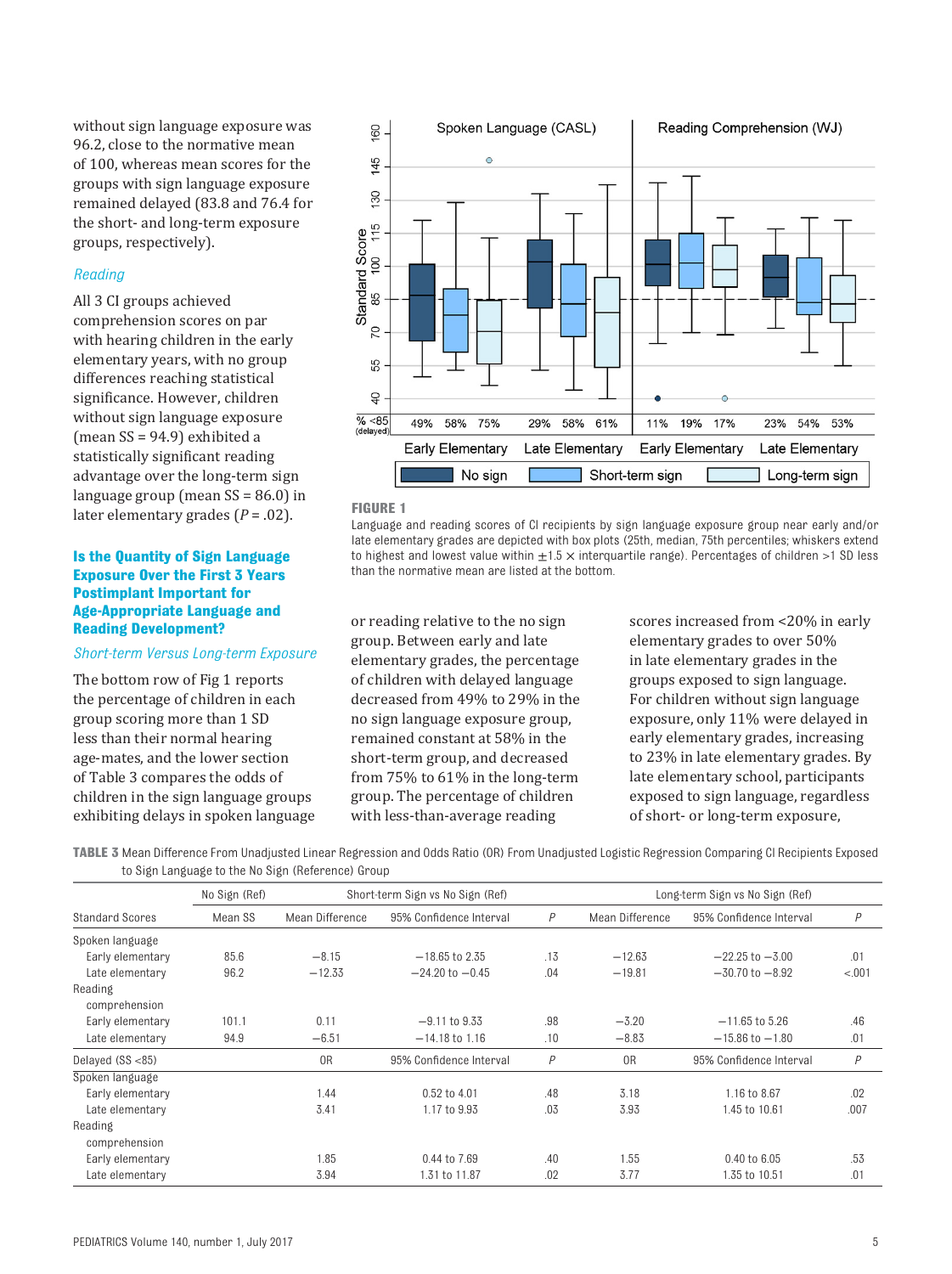without sign language exposure was 96.2, close to the normative mean of 100, whereas mean scores for the groups with sign language exposure remained delayed (83.8 and 76.4 for the short- and long-term exposure groups, respectively).

#### *Reading*

All 3 CI groups achieved comprehension scores on par with hearing children in the early elementary years, with no group differences reaching statistical significance. However, children without sign language exposure (mean SS = 94.9) exhibited a statistically significant reading advantage over the long-term sign language group (mean SS = 86.0) in later elementary grades (*P* = .02).

### **Is the Quantity of Sign Language Exposure Over the First 3 Years Postimplant Important for Age-Appropriate Language and Reading Development?**

### *Short-term Versus Long-term Exposure*

The bottom row of Fig 1 reports the percentage of children in each group scoring more than 1 SD less than their normal hearing age-mates, and the lower section of Table 3 compares the odds of children in the sign language groups exhibiting delays in spoken language



#### **FIGURE 1**

Language and reading scores of CI recipients by sign language exposure group near early and/or late elementary grades are depicted with box plots (25th, median, 75th percentiles; whiskers extend to highest and lowest value within  $\pm 1.5 \times$  interquartile range). Percentages of children >1 SD less than the normative mean are listed at the bottom.

or reading relative to the no sign group. Between early and late elementary grades, the percentage of children with delayed language decreased from 49% to 29% in the no sign language exposure group, remained constant at 58% in the short-term group, and decreased from 75% to 61% in the long-term group. The percentage of children with less-than-average reading

scores increased from <20% in early elementary grades to over 50% in late elementary grades in the groups exposed to sign language. For children without sign language exposure, only 11% were delayed in early elementary grades, increasing to 23% in late elementary grades. By late elementary school, participants exposed to sign language, regardless of short- or long-term exposure,

**TABLE 3** Mean Difference From Unadjusted Linear Regression and Odds Ratio (OR) From Unadjusted Logistic Regression Comparing CI Recipients Exposed to Sign Language to the No Sign (Reference) Group

|                          | No Sign (Ref) | Short-term Sign vs No Sign (Ref) |                         |     | Long-term Sign vs No Sign (Ref) |                         |        |  |
|--------------------------|---------------|----------------------------------|-------------------------|-----|---------------------------------|-------------------------|--------|--|
| <b>Standard Scores</b>   | Mean SS       | Mean Difference                  | 95% Confidence Interval | P   | Mean Difference                 | 95% Confidence Interval | P      |  |
| Spoken language          |               |                                  |                         |     |                                 |                         |        |  |
| Early elementary         | 85.6          | $-8.15$                          | $-18.65$ to 2.35        | .13 | $-12.63$                        | $-22.25$ to $-3.00$     | .01    |  |
| Late elementary          | 96.2          | $-12.33$                         | $-24.20$ to $-0.45$     | .04 | $-19.81$                        | $-30.70$ to $-8.92$     | < .001 |  |
| Reading<br>comprehension |               |                                  |                         |     |                                 |                         |        |  |
| Early elementary         | 101.1         | 0.11                             | $-9.11$ to $9.33$       | .98 | $-3.20$                         | $-11.65$ to 5.26        | .46    |  |
| Late elementary          | 94.9          | $-6.51$                          | $-14.18$ to 1.16        | .10 | $-8.83$                         | $-15.86$ to $-1.80$     | .01    |  |
| Delayed $(SS < 85)$      |               | 0 <sub>R</sub>                   | 95% Confidence Interval | P   | 0 <sub>R</sub>                  | 95% Confidence Interval | P      |  |
| Spoken language          |               |                                  |                         |     |                                 |                         |        |  |
| Early elementary         |               | 1.44                             | $0.52$ to $4.01$        | .48 | 3.18                            | 1.16 to 8.67            | .02    |  |
| Late elementary          |               | 3.41                             | 1.17 to 9.93            | .03 | 3.93                            | 1.45 to 10.61           | .007   |  |
| Reading<br>comprehension |               |                                  |                         |     |                                 |                         |        |  |
| Early elementary         |               | 1.85                             | 0.44 to 7.69            | .40 | 1.55                            | 0.40 to 6.05            | .53    |  |
| Late elementary          |               | 3.94                             | 1.31 to 11.87           | .02 | 3.77                            | 1.35 to 10.51           | .01    |  |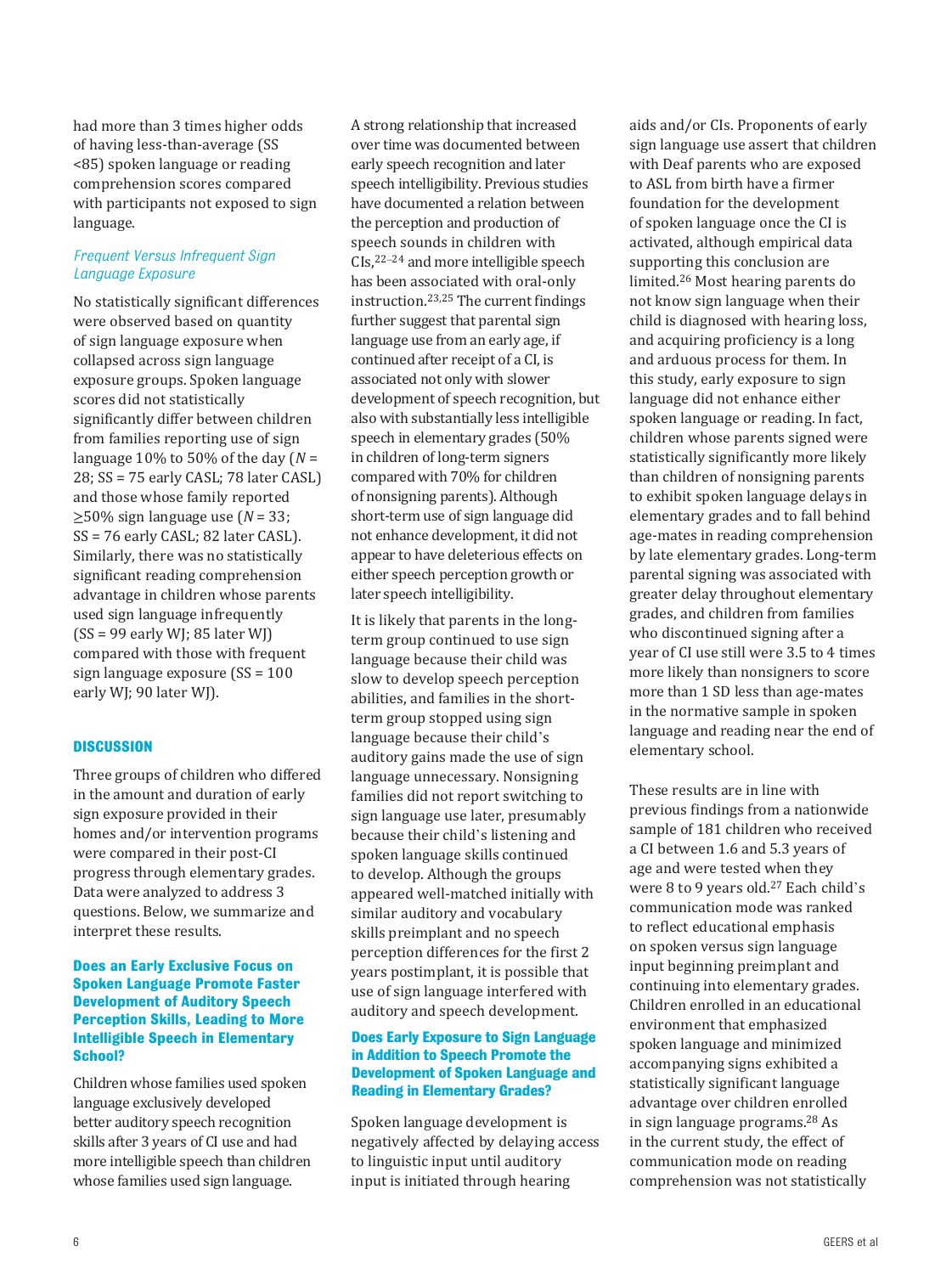had more than 3 times higher odds of having less-than-average (SS <85) spoken language or reading comprehension scores compared with participants not exposed to sign language.

## *Frequent Versus Infrequent Sign Language Exposure*

No statistically significant differences were observed based on quantity of sign language exposure when collapsed across sign language exposure groups. Spoken language scores did not statistically significantly differ between children from families reporting use of sign language 10% to 50% of the day (*N* = 28; SS = 75 early CASL; 78 later CASL) and those whose family reported ≥50% sign language use (*N* = 33; SS = 76 early CASL; 82 later CASL). Similarly, there was no statistically significant reading comprehension advantage in children whose parents used sign language infrequently  $(SS = 99 early WJ; 85 later WJ)$ compared with those with frequent sign language exposure (SS = 100 early WJ; 90 later WJ).

#### **DISCUSSION**

Three groups of children who differed in the amount and duration of early sign exposure provided in their homes and/or intervention programs were compared in their post-CI progress through elementary grades. Data were analyzed to address 3 questions. Below, we summarize and interpret these results.

### **Does an Early Exclusive Focus on Spoken Language Promote Faster Development of Auditory Speech Perception Skills, Leading to More Intelligible Speech in Elementary School?**

Children whose families used spoken language exclusively developed better auditory speech recognition skills after 3 years of CI use and had more intelligible speech than children whose families used sign language.

A strong relationship that increased over time was documented between early speech recognition and later speech intelligibility. Previous studies have documented a relation between the perception and production of speech sounds in children with CIs,22–24 and more intelligible speech has been associated with oral-only instruction. 23,25 The current findings further suggest that parental sign language use from an early age, if continued after receipt of a CI, is associated not only with slower development of speech recognition, but also with substantially less intelligible speech in elementary grades (50% in children of long-term signers compared with 70% for children of nonsigning parents). Although short-term use of sign language did not enhance development, it did not appear to have deleterious effects on either speech perception growth or later speech intelligibility.

It is likely that parents in the longterm group continued to use sign language because their child was slow to develop speech perception abilities, and families in the shortterm group stopped using sign language because their child's auditory gains made the use of sign language unnecessary. Nonsigning families did not report switching to sign language use later, presumably because their child's listening and spoken language skills continued to develop. Although the groups appeared well-matched initially with similar auditory and vocabulary skills preimplant and no speech perception differences for the first 2 years postimplant, it is possible that use of sign language interfered with auditory and speech development.

## **Does Early Exposure to Sign Language in Addition to Speech Promote the Development of Spoken Language and Reading in Elementary Grades?**

Spoken language development is negatively affected by delaying access to linguistic input until auditory input is initiated through hearing

aids and/or CIs. Proponents of early sign language use assert that children with Deaf parents who are exposed to ASL from birth have a firmer foundation for the development of spoken language once the CI is activated, although empirical data supporting this conclusion are limited. 26 Most hearing parents do not know sign language when their child is diagnosed with hearing loss, and acquiring proficiency is a long and arduous process for them. In this study, early exposure to sign language did not enhance either spoken language or reading. In fact, children whose parents signed were statistically significantly more likely than children of nonsigning parents to exhibit spoken language delays in elementary grades and to fall behind age-mates in reading comprehension by late elementary grades. Long-term parental signing was associated with greater delay throughout elementary grades, and children from families who discontinued signing after a year of CI use still were 3.5 to 4 times more likely than nonsigners to score more than 1 SD less than age-mates in the normative sample in spoken language and reading near the end of elementary school.

These results are in line with previous findings from a nationwide sample of 181 children who received a CI between 1.6 and 5.3 years of age and were tested when they were 8 to 9 years old. 27 Each child's communication mode was ranked to reflect educational emphasis on spoken versus sign language input beginning preimplant and continuing into elementary grades. Children enrolled in an educational environment that emphasized spoken language and minimized accompanying signs exhibited a statistically significant language advantage over children enrolled in sign language programs. 28 As in the current study, the effect of communication mode on reading comprehension was not statistically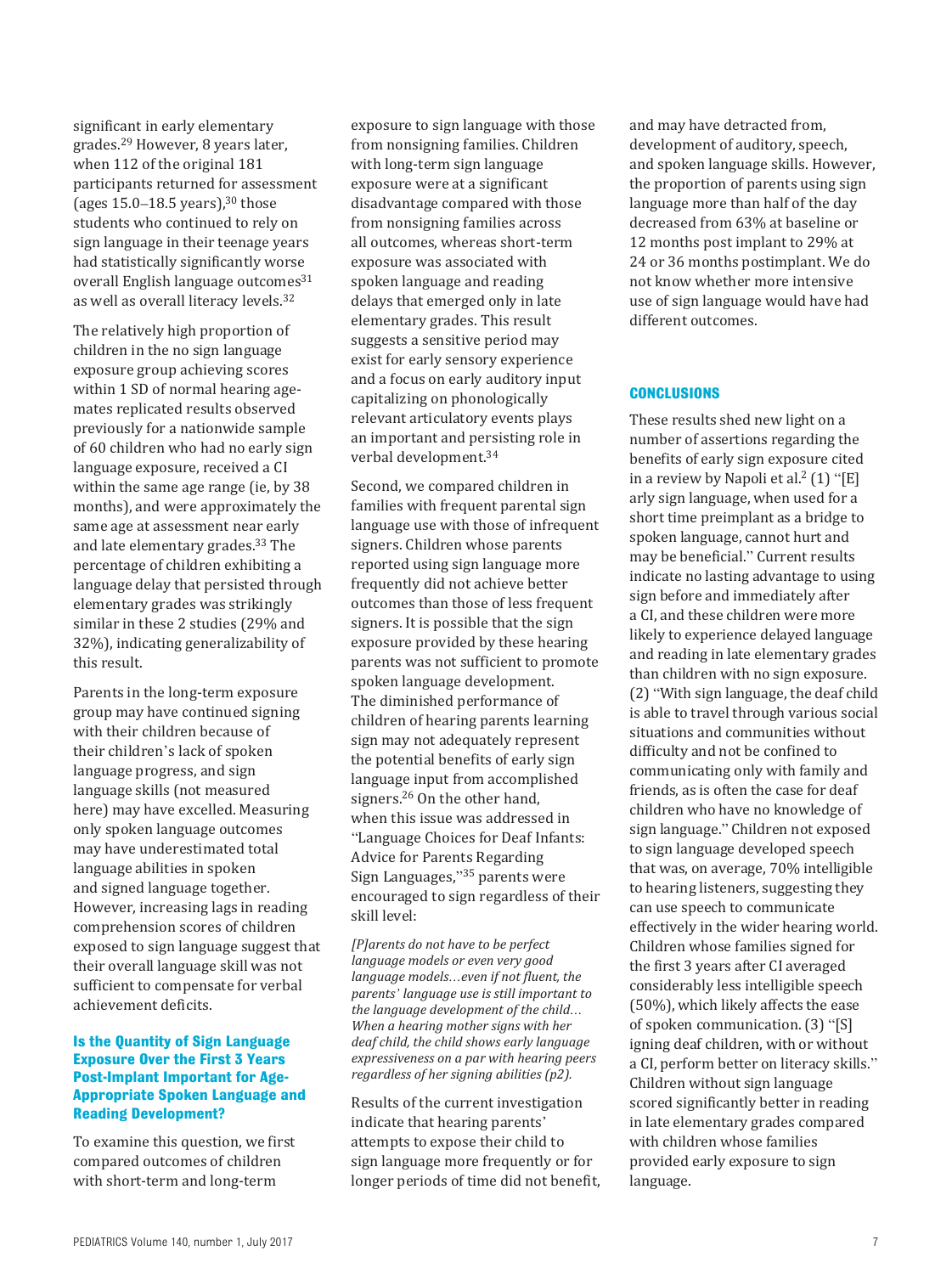significant in early elementary grades. 29 However, 8 years later, when 112 of the original 181 participants returned for assessment (ages  $15.0 - 18.5$  years), $30$  those students who continued to rely on sign language in their teenage years had statistically significantly worse overall English language outcomes<sup>31</sup> as well as overall literacy levels. 32

The relatively high proportion of children in the no sign language exposure group achieving scores within 1 SD of normal hearing agemates replicated results observed previously for a nationwide sample of 60 children who had no early sign language exposure, received a CI within the same age range (ie, by 38 months), and were approximately the same age at assessment near early and late elementary grades. 33 The percentage of children exhibiting a language delay that persisted through elementary grades was strikingly similar in these 2 studies (29% and 32%), indicating generalizability of this result.

Parents in the long-term exposure group may have continued signing with their children because of their children's lack of spoken language progress, and sign language skills (not measured here) may have excelled. Measuring only spoken language outcomes may have underestimated total language abilities in spoken and signed language together. However, increasing lags in reading comprehension scores of children exposed to sign language suggest that their overall language skill was not sufficient to compensate for verbal achievement deficits.

### **Is the Quantity of Sign Language Exposure Over the First 3 Years Post-Implant Important for Age-Appropriate Spoken Language and Reading Development?**

To examine this question, we first compared outcomes of children with short-term and long-term

exposure to sign language with those from nonsigning families. Children with long-term sign language exposure were at a significant disadvantage compared with those from nonsigning families across all outcomes, whereas short-term exposure was associated with spoken language and reading delays that emerged only in late elementary grades. This result suggests a sensitive period may exist for early sensory experience and a focus on early auditory input capitalizing on phonologically relevant articulatory events plays an important and persisting role in verbal development. 34

Second, we compared children in families with frequent parental sign language use with those of infrequent signers. Children whose parents reported using sign language more frequently did not achieve better outcomes than those of less frequent signers. It is possible that the sign exposure provided by these hearing parents was not sufficient to promote spoken language development. The diminished performance of children of hearing parents learning sign may not adequately represent the potential benefits of early sign language input from accomplished signers. 26 On the other hand, when this issue was addressed in "Language Choices for Deaf Infants: Advice for Parents Regarding Sign Languages,"35 parents were encouraged to sign regardless of their skill level:

*[P]arents do not have to be perfect language models or even very good language models…even if not fluent, the parents' language use is still important to the language development of the child… When a hearing mother signs with her deaf child, the child shows early language expressiveness on a par with hearing peers regardless of her signing abilities (p2).*

Results of the current investigation indicate that hearing parents' attempts to expose their child to sign language more frequently or for longer periods of time did not benefit, and may have detracted from, development of auditory, speech, and spoken language skills. However, the proportion of parents using sign language more than half of the day decreased from 63% at baseline or 12 months post implant to 29% at 24 or 36 months postimplant. We do not know whether more intensive use of sign language would have had different outcomes.

## **CONCLUSIONS**

These results shed new light on a number of assertions regarding the benefits of early sign exposure cited in a review by Napoli et al. 2 (1) "[E] arly sign language, when used for a short time preimplant as a bridge to spoken language, cannot hurt and may be beneficial." Current results indicate no lasting advantage to using sign before and immediately after a CI, and these children were more likely to experience delayed language and reading in late elementary grades than children with no sign exposure. (2) "With sign language, the deaf child is able to travel through various social situations and communities without difficulty and not be confined to communicating only with family and friends, as is often the case for deaf children who have no knowledge of sign language." Children not exposed to sign language developed speech that was, on average, 70% intelligible to hearing listeners, suggesting they can use speech to communicate effectively in the wider hearing world. Children whose families signed for the first 3 years after CI averaged considerably less intelligible speech (50%), which likely affects the ease of spoken communication. (3) "[S] igning deaf children, with or without a CI, perform better on literacy skills." Children without sign language scored significantly better in reading in late elementary grades compared with children whose families provided early exposure to sign language.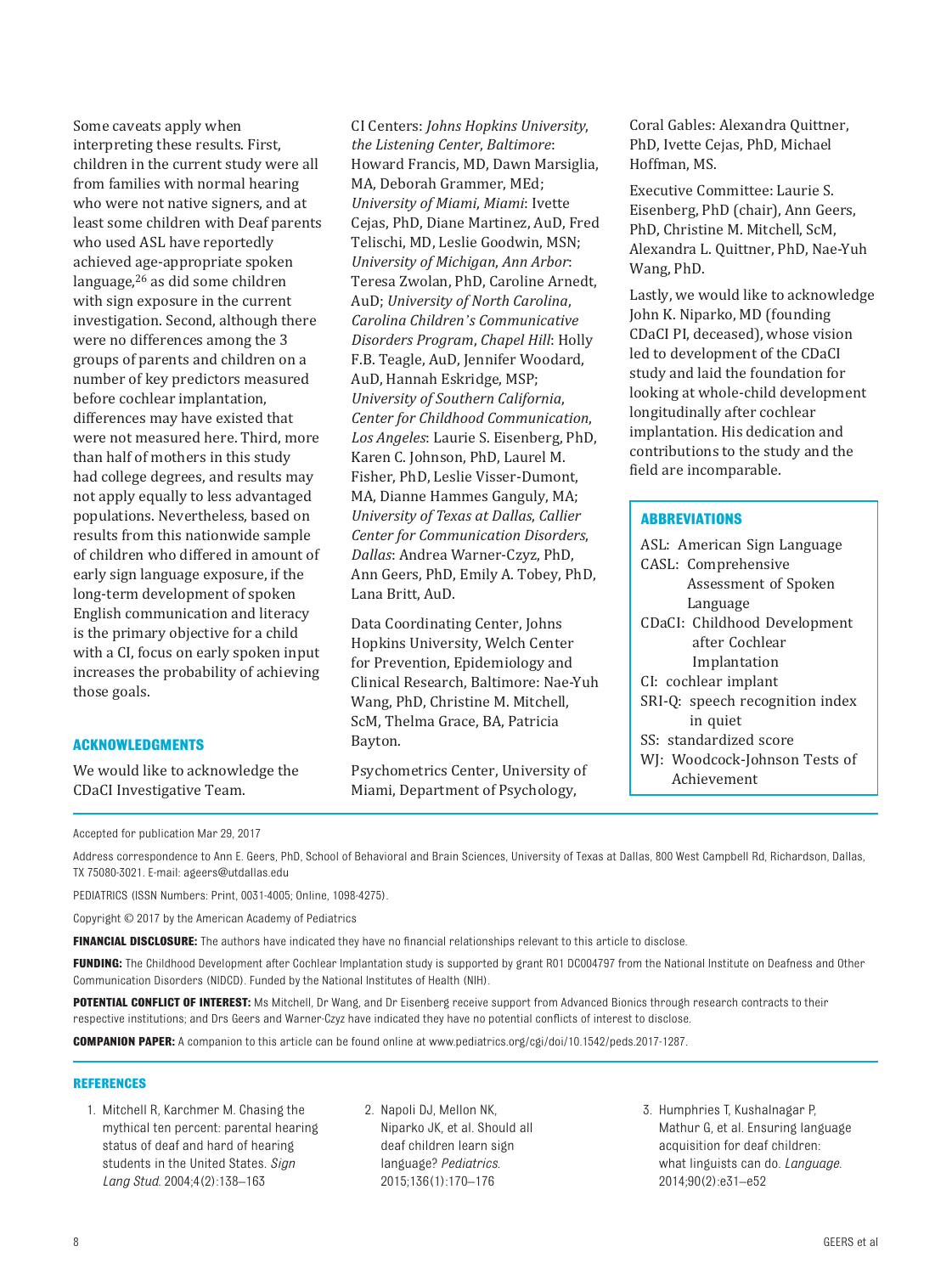Some caveats apply when interpreting these results. First, children in the current study were all from families with normal hearing who were not native signers, and at least some children with Deaf parents who used ASL have reportedly achieved age-appropriate spoken language,26 as did some children with sign exposure in the current investigation. Second, although there were no differences among the 3 groups of parents and children on a number of key predictors measured before cochlear implantation, differences may have existed that were not measured here. Third, more than half of mothers in this study had college degrees, and results may not apply equally to less advantaged populations. Nevertheless, based on results from this nationwide sample of children who differed in amount of early sign language exposure, if the long-term development of spoken English communication and literacy is the primary objective for a child with a CI, focus on early spoken input increases the probability of achieving those goals.

## **ACKNOWLEDGMENTS**

We would like to acknowledge the CDaCI Investigative Team.

CI Centers: *Johns Hopkins University*, *the Listening Center*, *Baltimore*: Howard Francis, MD, Dawn Marsiglia, MA, Deborah Grammer, MEd; *University of Miami*, *Miami*: Ivette Cejas, PhD, Diane Martinez, AuD, Fred Telischi, MD, Leslie Goodwin, MSN; *University of Michigan*, *Ann Arbor*: Teresa Zwolan, PhD, Caroline Arnedt, AuD; *University of North Carolina*, *Carolina Children's Communicative Disorders Program*, *Chapel Hill*: Holly F.B. Teagle, AuD, Jennifer Woodard, AuD, Hannah Eskridge, MSP; *University of Southern California*, *Center for Childhood Communication*, *Los Angeles*: Laurie S. Eisenberg, PhD, Karen C. Johnson, PhD, Laurel M. Fisher, PhD, Leslie Visser-Dumont, MA, Dianne Hammes Ganguly, MA; *University of Texas at Dallas*, *Callier Center for Communication Disorders*, *Dallas*: Andrea Warner-Czyz, PhD, Ann Geers, PhD, Emily A. Tobey, PhD, Lana Britt, AuD.

Data Coordinating Center, Johns Hopkins University, Welch Center for Prevention, Epidemiology and Clinical Research, Baltimore: Nae-Yuh Wang, PhD, Christine M. Mitchell, ScM, Thelma Grace, BA, Patricia Bayton.

Psychometrics Center, University of Miami, Department of Psychology,

Coral Gables: Alexandra Quittner, PhD, Ivette Cejas, PhD, Michael Hoffman, MS.

Executive Committee: Laurie S. Eisenberg, PhD (chair), Ann Geers, PhD, Christine M. Mitchell, ScM, Alexandra L. Quittner, PhD, Nae-Yuh Wang, PhD.

Lastly, we would like to acknowledge John K. Niparko, MD (founding CDaCI PI, deceased), whose vision led to development of the CDaCI study and laid the foundation for looking at whole-child development longitudinally after cochlear implantation. His dedication and contributions to the study and the field are incomparable.

#### **ABBREVIATIONS**

Accepted for publication Mar 29, 2017

Address correspondence to Ann E. Geers, PhD, School of Behavioral and Brain Sciences, University of Texas at Dallas, 800 West Campbell Rd, Richardson, Dallas, TX 75080-3021. E-mail: ageers@utdallas.edu

PEDIATRICS (ISSN Numbers: Print, 0031-4005; Online, 1098-4275).

Copyright © 2017 by the American Academy of Pediatrics

**FINANCIAL DISCLOSURE:** The authors have indicated they have no financial relationships relevant to this article to disclose.

**FUNDING:** The Childhood Development after Cochlear Implantation study is supported by grant R01 DC004797 from the National Institute on Deafness and Other Communication Disorders (NIDCD). Funded by the National Institutes of Health (NIH).

**POTENTIAL CONFLICT OF INTEREST:** Ms Mitchell, Dr Wang, and Dr Eisenberg receive support from Advanced Bionics through research contracts to their respective institutions; and Drs Geers and Warner-Czyz have indicated they have no potential conflicts of interest to disclose.

**COMPANION PAPER:** A companion to this article can be found online at www.pediatrics.org/cgi/doi/10.1542/peds.2017-1287.

#### **REFERENCES**

- 1. Mitchell R, Karchmer M. Chasing the mythical ten percent: parental hearing status of deaf and hard of hearing students in the United States. *Sign Lang Stud*. 2004;4(2):138–163
- 2. Napoli DJ, Mellon NK, Niparko JK, et al. Should all deaf children learn sign language? *Pediatrics*. 2015;136(1):170–176
- 3. Humphries T, Kushalnagar P, Mathur G, et al. Ensuring language acquisition for deaf children: what linguists can do. *Language*. 2014;90(2):e31–e52